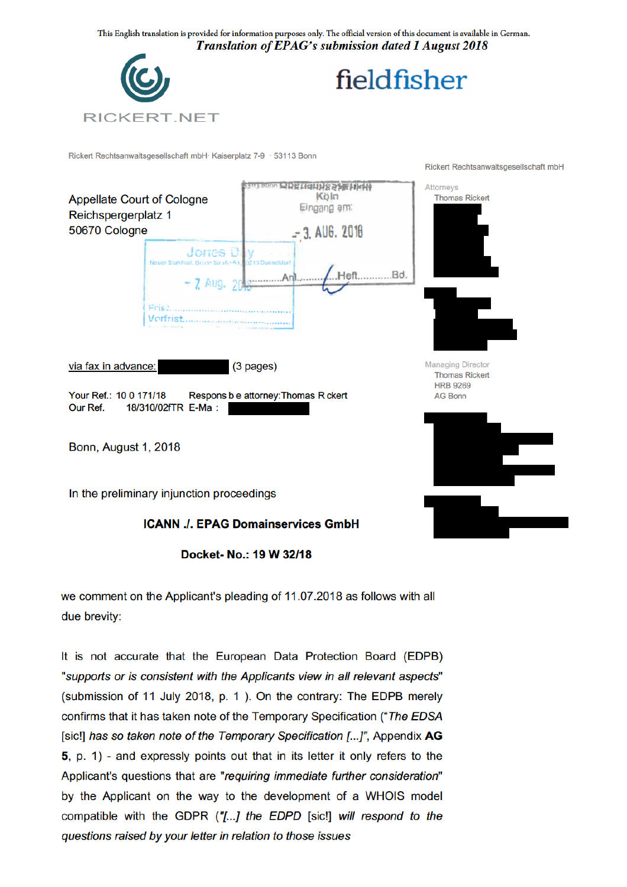

Rickert Rechtsanwaltsgesellschaft mbH· Kaiserplatz 7-9 · 53113 Bonn

**RICKERT.NET** 



Docket-No.: 19 W 32/18

we comment on the Applicant's pleading of 11.07.2018 as follows with all due brevity:

It is not accurate that the European Data Protection Board (EDPB) "supports or is consistent with the Applicants view in all relevant aspects" (submission of 11 July 2018, p. 1). On the contrary: The EDPB merely confirms that it has taken note of the Temporary Specification ("The EDSA [sic!] has so taken note of the Temporary Specification [...]", Appendix AG 5, p. 1) - and expressly points out that in its letter it only refers to the Applicant's questions that are "requiring immediate further consideration" by the Applicant on the way to the development of a WHOIS model compatible with the GDPR ("[...] the EDPD [sic!] will respond to the questions raised by your letter in relation to those issues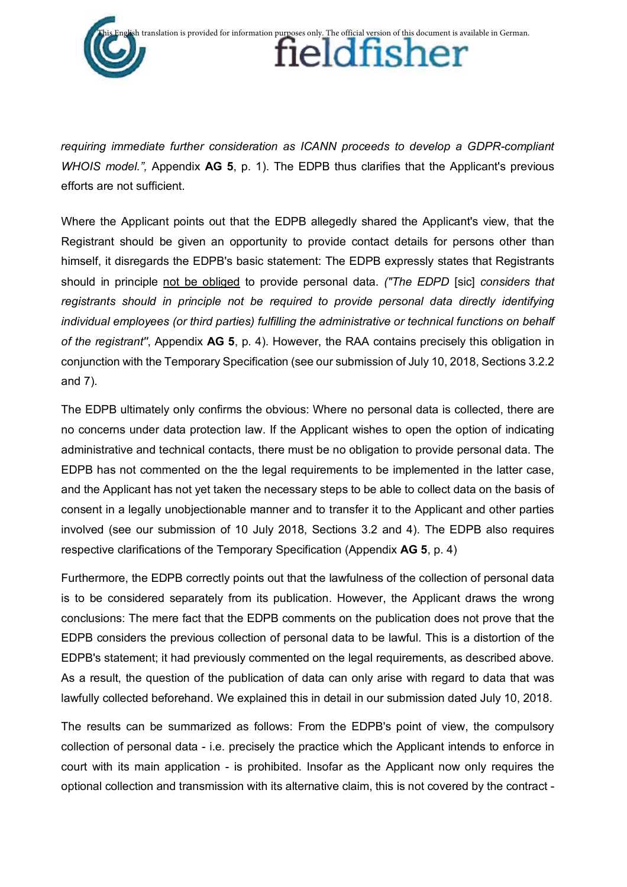

*requiring immediate further consideration as ICANN proceeds to develop a GDPR-compliant WHOIS model.",* Appendix **AG 5**, p. 1). The EDPB thus clarifies that the Applicant's previous efforts are not sufficient.

Where the Applicant points out that the EDPB allegedly shared the Applicant's view, that the Registrant should be given an opportunity to provide contact details for persons other than himself, it disregards the EDPB's basic statement: The EDPB expressly states that Registrants should in principle not be obliged to provide personal data. *("The EDPD* [sic] *considers that registrants should in principle not be required to provide personal data directly identifying individual employees (or third parties) fulfilling the administrative or technical functions on behalf of the registrant''*, Appendix **AG 5**, p. 4). However, the RAA contains precisely this obligation in conjunction with the Temporary Specification (see our submission of July 10, 2018, Sections 3.2.2 and 7).

The EDPB ultimately only confirms the obvious: Where no personal data is collected, there are no concerns under data protection law. If the Applicant wishes to open the option of indicating administrative and technical contacts, there must be no obligation to provide personal data. The EDPB has not commented on the the legal requirements to be implemented in the latter case, and the Applicant has not yet taken the necessary steps to be able to collect data on the basis of consent in a legally unobjectionable manner and to transfer it to the Applicant and other parties involved (see our submission of 10 July 2018, Sections 3.2 and 4). The EDPB also requires respective clarifications of the Temporary Specification (Appendix **AG 5**, p. 4)

Furthermore, the EDPB correctly points out that the lawfulness of the collection of personal data is to be considered separately from its publication. However, the Applicant draws the wrong conclusions: The mere fact that the EDPB comments on the publication does not prove that the EDPB considers the previous collection of personal data to be lawful. This is a distortion of the EDPB's statement; it had previously commented on the legal requirements, as described above. As a result, the question of the publication of data can only arise with regard to data that was lawfully collected beforehand. We explained this in detail in our submission dated July 10, 2018.

The results can be summarized as follows: From the EDPB's point of view, the compulsory collection of personal data - i.e. precisely the practice which the Applicant intends to enforce in court with its main application - is prohibited. Insofar as the Applicant now only requires the optional collection and transmission with its alternative claim, this is not covered by the contract -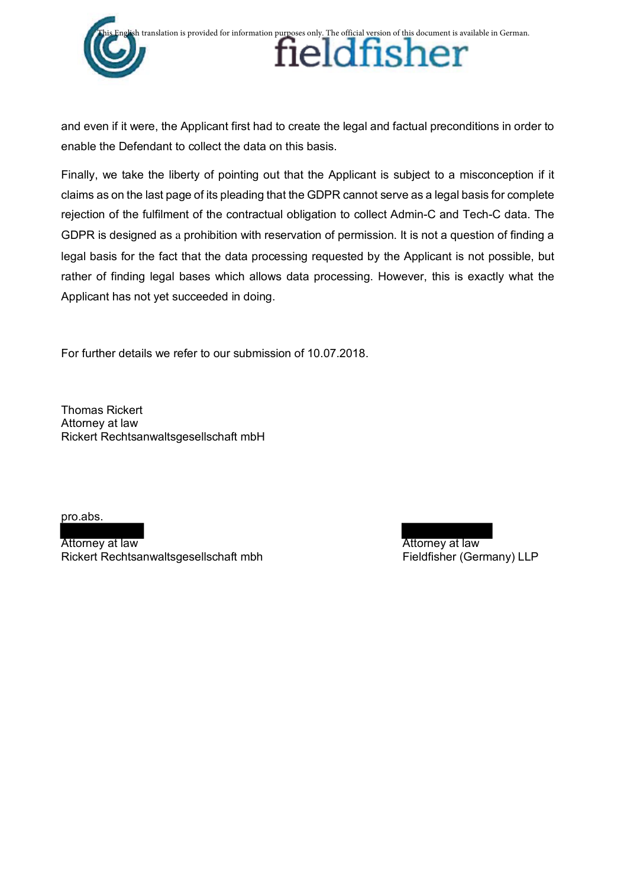

and even if it were, the Applicant first had to create the legal and factual preconditions in order to enable the Defendant to collect the data on this basis.

Finally, we take the liberty of pointing out that the Applicant is subject to a misconception if it claims as on the last page of its pleading that the GDPR cannot serve as a legal basis for complete rejection of the fulfilment of the contractual obligation to collect Admin-C and Tech-C data. The GDPR is designed as a prohibition with reservation of permission. It is not a question of finding a legal basis for the fact that the data processing requested by the Applicant is not possible, but rather of finding legal bases which allows data processing. However, this is exactly what the Applicant has not yet succeeded in doing.

For further details we refer to our submission of 10.07.2018.

Thomas Rickert Attorney at law Rickert Rechtsanwaltsgesellschaft mbH

pro.abs.

Attorney at law **Attorney at law** Attorney at law Rickert Rechtsanwaltsgesellschaft mbh Fieldfisher (Germany) LLP